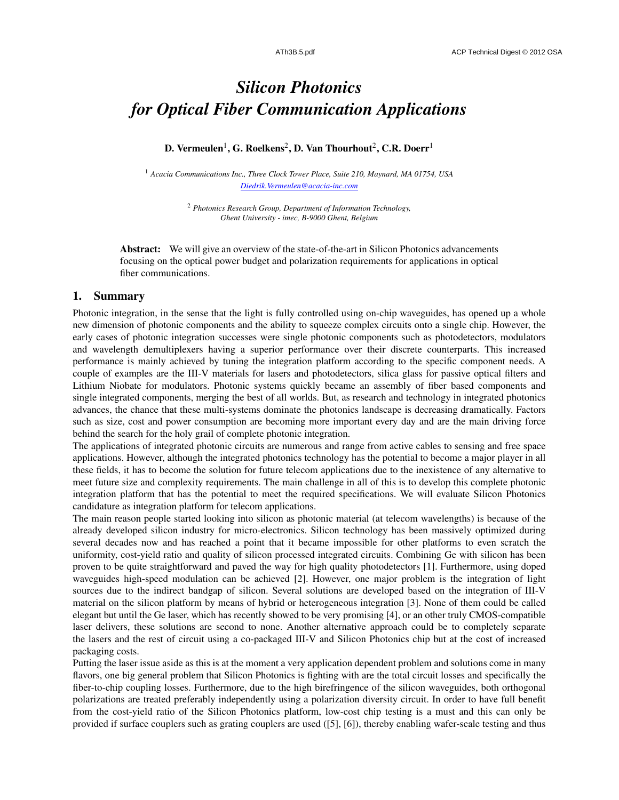## *Silicon Photonics for Optical Fiber Communication Applications*

D. Vermeulen $^1$ , G. Roelkens $^2$ , D. Van Thourhout $^2$ , C.R. Doerr $^1$ 

<sup>1</sup> *Acacia Communications Inc., Three Clock Tower Place, Suite 210, Maynard, MA 01754, USA Diedrik.Vermeulen@acacia-inc.com*

> <sup>2</sup> *Photonics Research Group, Department of Information Technology, Ghent University - imec, B-9000 Ghent, Belgium*

Abstract: We will give an overview of the state-of-the-art in Silicon Photonics advancements focusing on the optical power budget and polarization requirements for applications in optical fiber communications.

## 1. Summary

Photonic integration, in the sense that the light is fully controlled using on-chip waveguides, has opened up a whole new dimension of photonic components and the ability to squeeze complex circuits onto a single chip. However, the early cases of photonic integration successes were single photonic components such as photodetectors, modulators and wavelength demultiplexers having a superior performance over their discrete counterparts. This increased performance is mainly achieved by tuning the integration platform according to the specific component needs. A couple of examples are the III-V materials for lasers and photodetectors, silica glass for passive optical filters and Lithium Niobate for modulators. Photonic systems quickly became an assembly of fiber based components and single integrated components, merging the best of all worlds. But, as research and technology in integrated photonics advances, the chance that these multi-systems dominate the photonics landscape is decreasing dramatically. Factors such as size, cost and power consumption are becoming more important every day and are the main driving force behind the search for the holy grail of complete photonic integration.

The applications of integrated photonic circuits are numerous and range from active cables to sensing and free space applications. However, although the integrated photonics technology has the potential to become a major player in all these fields, it has to become the solution for future telecom applications due to the inexistence of any alternative to meet future size and complexity requirements. The main challenge in all of this is to develop this complete photonic integration platform that has the potential to meet the required specifications. We will evaluate Silicon Photonics candidature as integration platform for telecom applications.

The main reason people started looking into silicon as photonic material (at telecom wavelengths) is because of the already developed silicon industry for micro-electronics. Silicon technology has been massively optimized during several decades now and has reached a point that it became impossible for other platforms to even scratch the uniformity, cost-yield ratio and quality of silicon processed integrated circuits. Combining Ge with silicon has been proven to be quite straightforward and paved the way for high quality photodetectors [1]. Furthermore, using doped waveguides high-speed modulation can be achieved [2]. However, one major problem is the integration of light sources due to the indirect bandgap of silicon. Several solutions are developed based on the integration of III-V material on the silicon platform by means of hybrid or heterogeneous integration [3]. None of them could be called elegant but until the Ge laser, which has recently showed to be very promising [4], or an other truly CMOS-compatible laser delivers, these solutions are second to none. Another alternative approach could be to completely separate the lasers and the rest of circuit using a co-packaged III-V and Silicon Photonics chip but at the cost of increased packaging costs.

Putting the laser issue aside as this is at the moment a very application dependent problem and solutions come in many flavors, one big general problem that Silicon Photonics is fighting with are the total circuit losses and specifically the fiber-to-chip coupling losses. Furthermore, due to the high birefringence of the silicon waveguides, both orthogonal polarizations are treated preferably independently using a polarization diversity circuit. In order to have full benefit from the cost-yield ratio of the Silicon Photonics platform, low-cost chip testing is a must and this can only be provided if surface couplers such as grating couplers are used ([5], [6]), thereby enabling wafer-scale testing and thus